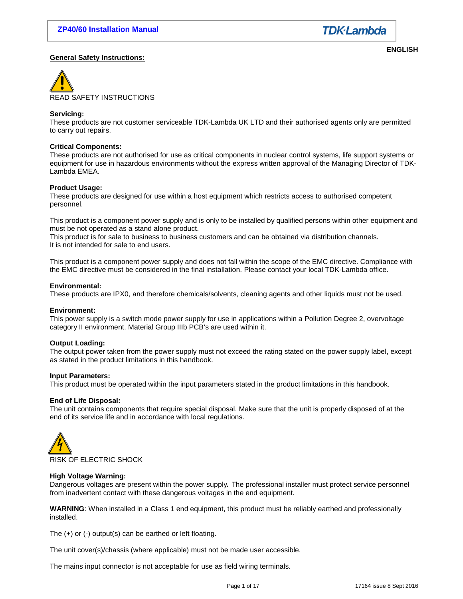

# **General Safety Instructions:**

**ENGLISH** 



# **Servicing:**

These products are not customer serviceable TDK-Lambda UK LTD and their authorised agents only are permitted to carry out repairs.

#### **Critical Components:**

These products are not authorised for use as critical components in nuclear control systems, life support systems or equipment for use in hazardous environments without the express written approval of the Managing Director of TDK-Lambda EMEA.

# **Product Usage:**

These products are designed for use within a host equipment which restricts access to authorised competent personnel.

This product is a component power supply and is only to be installed by qualified persons within other equipment and must be not operated as a stand alone product.

This product is for sale to business to business customers and can be obtained via distribution channels. It is not intended for sale to end users.

This product is a component power supply and does not fall within the scope of the EMC directive. Compliance with the EMC directive must be considered in the final installation. Please contact your local TDK-Lambda office.

#### **Environmental:**

These products are IPX0, and therefore chemicals/solvents, cleaning agents and other liquids must not be used.

#### **Environment:**

This power supply is a switch mode power supply for use in applications within a Pollution Degree 2, overvoltage category II environment. Material Group IIIb PCB's are used within it.

# **Output Loading:**

The output power taken from the power supply must not exceed the rating stated on the power supply label, except as stated in the product limitations in this handbook.

#### **Input Parameters:**

This product must be operated within the input parameters stated in the product limitations in this handbook.

#### **End of Life Disposal:**

The unit contains components that require special disposal. Make sure that the unit is properly disposed of at the end of its service life and in accordance with local regulations.



# **High Voltage Warning:**

Dangerous voltages are present within the power supply**.** The professional installer must protect service personnel from inadvertent contact with these dangerous voltages in the end equipment.

**WARNING**: When installed in a Class 1 end equipment, this product must be reliably earthed and professionally installed.

The (+) or (-) output(s) can be earthed or left floating.

The unit cover(s)/chassis (where applicable) must not be made user accessible.

The mains input connector is not acceptable for use as field wiring terminals.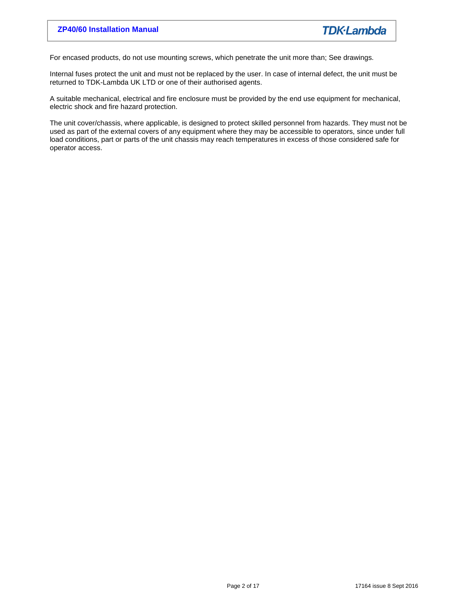For encased products, do not use mounting screws, which penetrate the unit more than; See drawings.

Internal fuses protect the unit and must not be replaced by the user. In case of internal defect, the unit must be returned to TDK-Lambda UK LTD or one of their authorised agents.

A suitable mechanical, electrical and fire enclosure must be provided by the end use equipment for mechanical, electric shock and fire hazard protection.

The unit cover/chassis, where applicable, is designed to protect skilled personnel from hazards. They must not be used as part of the external covers of any equipment where they may be accessible to operators, since under full load conditions, part or parts of the unit chassis may reach temperatures in excess of those considered safe for operator access.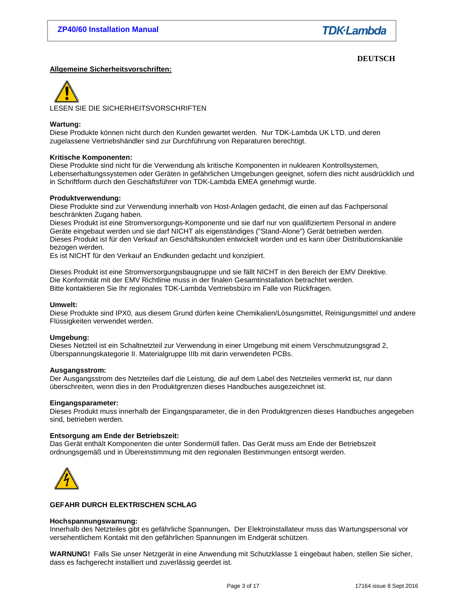# **DEUTSCH**

# **Allgemeine Sicherheitsvorschriften:**

LESEN SIE DIE SICHERHEITSVORSCHRIFTEN

# **Wartung:**

Diese Produkte können nicht durch den Kunden gewartet werden. Nur TDK-Lambda UK LTD. und deren zugelassene Vertriebshändler sind zur Durchführung von Reparaturen berechtigt.

# **Kritische Komponenten:**

Diese Produkte sind nicht für die Verwendung als kritische Komponenten in nuklearen Kontrollsystemen, Lebenserhaltungssystemen oder Geräten in gefährlichen Umgebungen geeignet, sofern dies nicht ausdrücklich und in Schriftform durch den Geschäftsführer von TDK-Lambda EMEA genehmigt wurde.

# **Produktverwendung:**

Diese Produkte sind zur Verwendung innerhalb von Host-Anlagen gedacht, die einen auf das Fachpersonal beschränkten Zugang haben.

Dieses Produkt ist eine Stromversorgungs-Komponente und sie darf nur von qualifiziertem Personal in andere Geräte eingebaut werden und sie darf NICHT als eigenständiges ("Stand-Alone") Gerät betrieben werden. Dieses Produkt ist für den Verkauf an Geschäftskunden entwickelt worden und es kann über Distributionskanäle bezogen werden.

Es ist NICHT für den Verkauf an Endkunden gedacht und konzipiert.

Dieses Produkt ist eine Stromversorgungsbaugruppe und sie fällt NICHT in den Bereich der EMV Direktive. Die Konformität mit der EMV Richtlinie muss in der finalen Gesamtinstallation betrachtet werden. Bitte kontaktieren Sie Ihr regionales TDK-Lambda Vertriebsbüro im Falle von Rückfragen.

# **Umwelt:**

Diese Produkte sind IPX0, aus diesem Grund dürfen keine Chemikalien/Lösungsmittel, Reinigungsmittel und andere Flüssigkeiten verwendet werden.

# **Umgebung:**

Dieses Netzteil ist ein Schaltnetzteil zur Verwendung in einer Umgebung mit einem Verschmutzungsgrad 2, Überspannungskategorie II. Materialgruppe IIIb mit darin verwendeten PCBs.

# **Ausgangsstrom:**

Der Ausgangsstrom des Netzteiles darf die Leistung, die auf dem Label des Netzteiles vermerkt ist, nur dann überschreiten, wenn dies in den Produktgrenzen dieses Handbuches ausgezeichnet ist.

# **Eingangsparameter:**

Dieses Produkt muss innerhalb der Eingangsparameter, die in den Produktgrenzen dieses Handbuches angegeben sind, betrieben werden.

# **Entsorgung am Ende der Betriebszeit:**

Das Gerät enthält Komponenten die unter Sondermüll fallen. Das Gerät muss am Ende der Betriebszeit ordnungsgemäß und in Übereinstimmung mit den regionalen Bestimmungen entsorgt werden.



# **GEFAHR DURCH ELEKTRISCHEN SCHLAG**

#### **Hochspannungswarnung:**

Innerhalb des Netzteiles gibt es gefährliche Spannungen**.** Der Elektroinstallateur muss das Wartungspersonal vor versehentlichem Kontakt mit den gefährlichen Spannungen im Endgerät schützen.

**WARNUNG!** Falls Sie unser Netzgerät in eine Anwendung mit Schutzklasse 1 eingebaut haben, stellen Sie sicher, dass es fachgerecht installiert und zuverlässig geerdet ist.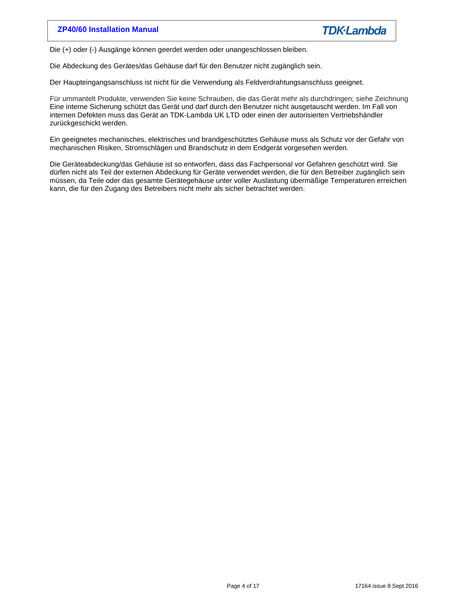Die (+) oder (-) Ausgänge können geerdet werden oder unangeschlossen bleiben.

Die Abdeckung des Gerätes/das Gehäuse darf für den Benutzer nicht zugänglich sein.

Der Haupteingangsanschluss ist nicht für die Verwendung als Feldverdrahtungsanschluss geeignet.

Für ummantelt Produkte, verwenden Sie keine Schrauben, die das Gerät mehr als durchdringen; siehe Zeichnung Eine interne Sicherung schützt das Gerät und darf durch den Benutzer nicht ausgetauscht werden. Im Fall von internen Defekten muss das Gerät an TDK-Lambda UK LTD oder einen der autorisierten Vertriebshändler zurückgeschickt werden.

Ein geeignetes mechanisches, elektrisches und brandgeschütztes Gehäuse muss als Schutz vor der Gefahr von mechanischen Risiken, Stromschlägen und Brandschutz in dem Endgerät vorgesehen werden.

Die Geräteabdeckung/das Gehäuse ist so entworfen, dass das Fachpersonal vor Gefahren geschützt wird. Sie dürfen nicht als Teil der externen Abdeckung für Geräte verwendet werden, die für den Betreiber zugänglich sein müssen, da Teile oder das gesamte Gerätegehäuse unter voller Auslastung übermäßige Temperaturen erreichen kann, die für den Zugang des Betreibers nicht mehr als sicher betrachtet werden.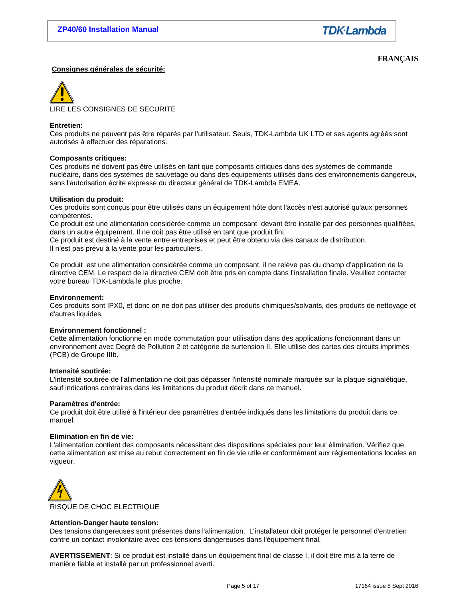**FRANÇAIS** 

# **Consignes générales de sécurité:**

LIRE LES CONSIGNES DE SECURITE

# **Entretien:**

Ces produits ne peuvent pas être réparés par l'utilisateur. Seuls, TDK-Lambda UK LTD et ses agents agréés sont autorisés à effectuer des réparations.

#### **Composants critiques:**

Ces produits ne doivent pas être utilisés en tant que composants critiques dans des systèmes de commande nucléaire, dans des systèmes de sauvetage ou dans des équipements utilisés dans des environnements dangereux, sans l'autorisation écrite expresse du directeur général de TDK-Lambda EMEA.

#### **Utilisation du produit:**

Ces produits sont conçus pour être utilisés dans un équipement hôte dont l'accès n'est autorisé qu'aux personnes compétentes.

Ce produit est une alimentation considérée comme un composant devant être installé par des personnes qualifiées, dans un autre équipement. Il ne doit pas être utilisé en tant que produit fini.

Ce produit est destiné à la vente entre entreprises et peut être obtenu via des canaux de distribution. Il n'est pas prévu à la vente pour les particuliers.

Ce produit est une alimentation considérée comme un composant, il ne relève pas du champ d'application de la directive CEM. Le respect de la directive CEM doit être pris en compte dans l'installation finale. Veuillez contacter votre bureau TDK-Lambda le plus proche.

#### **Environnement:**

Ces produits sont IPX0, et donc on ne doit pas utiliser des produits chimiques/solvants, des produits de nettoyage et d'autres liquides.

# **Environnement fonctionnel :**

Cette alimentation fonctionne en mode commutation pour utilisation dans des applications fonctionnant dans un environnement avec Degré de Pollution 2 et catégorie de surtension II. Elle utilise des cartes des circuits imprimés (PCB) de Groupe IIIb.

#### **Intensité soutirée:**

L'intensité soutirée de l'alimentation ne doit pas dépasser l'intensité nominale marquée sur la plaque signalétique, sauf indications contraires dans les limitations du produit décrit dans ce manuel.

#### **Paramètres d'entrée:**

Ce produit doit être utilisé à l'intérieur des paramètres d'entrée indiqués dans les limitations du produit dans ce manuel.

# **Elimination en fin de vie:**

L'alimentation contient des composants nécessitant des dispositions spéciales pour leur élimination. Vérifiez que cette alimentation est mise au rebut correctement en fin de vie utile et conformément aux réglementations locales en vigueur.



# **Attention-Danger haute tension:**

Des tensions dangereuses sont présentes dans l'alimentation. L'installateur doit protéger le personnel d'entretien contre un contact involontaire avec ces tensions dangereuses dans l'équipement final.

**AVERTISSEMENT**: Si ce produit est installé dans un équipement final de classe I, il doit être mis à la terre de manière fiable et installé par un professionnel averti.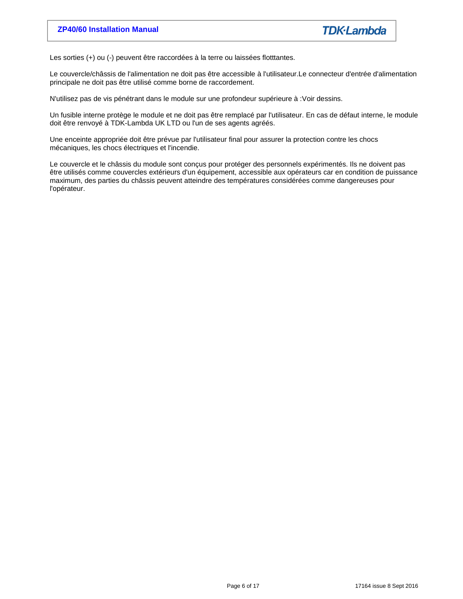Les sorties (+) ou (-) peuvent être raccordées à la terre ou laissées flotttantes.

Le couvercle/châssis de l'alimentation ne doit pas être accessible à l'utilisateur.Le connecteur d'entrée d'alimentation principale ne doit pas être utilisé comme borne de raccordement.

N'utilisez pas de vis pénétrant dans le module sur une profondeur supérieure à :Voir dessins.

Un fusible interne protège le module et ne doit pas être remplacé par l'utilisateur. En cas de défaut interne, le module doit être renvoyé à TDK-Lambda UK LTD ou l'un de ses agents agréés.

Une enceinte appropriée doit être prévue par l'utilisateur final pour assurer la protection contre les chocs mécaniques, les chocs électriques et l'incendie.

Le couvercle et le châssis du module sont conçus pour protéger des personnels expérimentés. Ils ne doivent pas être utilisés comme couvercles extérieurs d'un équipement, accessible aux opérateurs car en condition de puissance maximum, des parties du châssis peuvent atteindre des températures considérées comme dangereuses pour l'opérateur.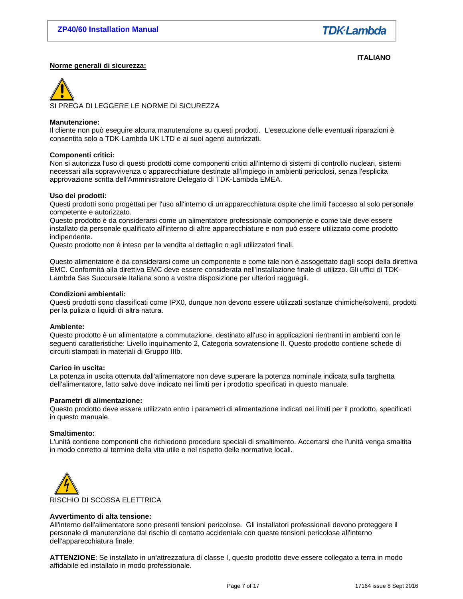**ITALIANO** 

# **Norme generali di sicurezza:**

SI PREGA DI LEGGERE LE NORME DI SICUREZZA

#### **Manutenzione:**

Il cliente non può eseguire alcuna manutenzione su questi prodotti. L'esecuzione delle eventuali riparazioni è consentita solo a TDK-Lambda UK LTD e ai suoi agenti autorizzati.

# **Componenti critici:**

Non si autorizza l'uso di questi prodotti come componenti critici all'interno di sistemi di controllo nucleari, sistemi necessari alla sopravvivenza o apparecchiature destinate all'impiego in ambienti pericolosi, senza l'esplicita approvazione scritta dell'Amministratore Delegato di TDK-Lambda EMEA.

# **Uso dei prodotti:**

Questi prodotti sono progettati per l'uso all'interno di un'apparecchiatura ospite che limiti l'accesso al solo personale competente e autorizzato.

Questo prodotto è da considerarsi come un alimentatore professionale componente e come tale deve essere installato da personale qualificato all'interno di altre apparecchiature e non può essere utilizzato come prodotto indipendente.

Questo prodotto non è inteso per la vendita al dettaglio o agli utilizzatori finali.

Questo alimentatore è da considerarsi come un componente e come tale non è assogettato dagli scopi della direttiva EMC. Conformità alla direttiva EMC deve essere considerata nell'installazione finale di utilizzo. Gli uffici di TDK-Lambda Sas Succursale Italiana sono a vostra disposizione per ulteriori ragguagli.

#### **Condizioni ambientali:**

Questi prodotti sono classificati come IPX0, dunque non devono essere utilizzati sostanze chimiche/solventi, prodotti per la pulizia o liquidi di altra natura.

#### **Ambiente:**

Questo prodotto è un alimentatore a commutazione, destinato all'uso in applicazioni rientranti in ambienti con le seguenti caratteristiche: Livello inquinamento 2, Categoria sovratensione II. Questo prodotto contiene schede di circuiti stampati in materiali di Gruppo IIIb.

#### **Carico in uscita:**

La potenza in uscita ottenuta dall'alimentatore non deve superare la potenza nominale indicata sulla targhetta dell'alimentatore, fatto salvo dove indicato nei limiti per i prodotto specificati in questo manuale.

#### **Parametri di alimentazione:**

Questo prodotto deve essere utilizzato entro i parametri di alimentazione indicati nei limiti per il prodotto, specificati in questo manuale.

#### **Smaltimento:**

L'unità contiene componenti che richiedono procedure speciali di smaltimento. Accertarsi che l'unità venga smaltita in modo corretto al termine della vita utile e nel rispetto delle normative locali.



# **Avvertimento di alta tensione:**

All'interno dell'alimentatore sono presenti tensioni pericolose. Gli installatori professionali devono proteggere il personale di manutenzione dal rischio di contatto accidentale con queste tensioni pericolose all'interno dell'apparecchiatura finale.

**ATTENZIONE**: Se installato in un'attrezzatura di classe I, questo prodotto deve essere collegato a terra in modo affidabile ed installato in modo professionale.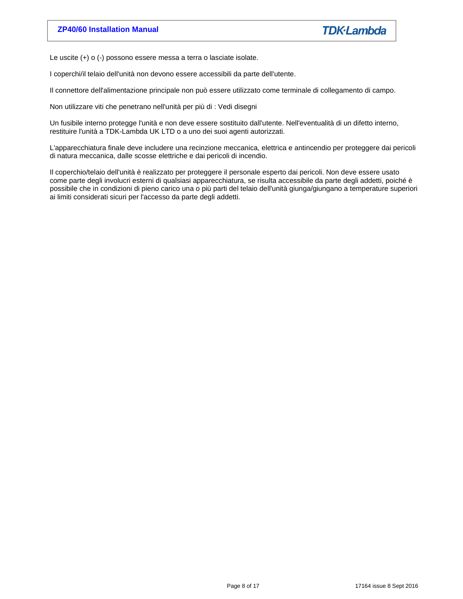Le uscite (+) o (-) possono essere messa a terra o lasciate isolate.

I coperchi/il telaio dell'unità non devono essere accessibili da parte dell'utente.

Il connettore dell'alimentazione principale non può essere utilizzato come terminale di collegamento di campo.

Non utilizzare viti che penetrano nell'unità per più di : Vedi disegni

Un fusibile interno protegge l'unità e non deve essere sostituito dall'utente. Nell'eventualità di un difetto interno, restituire l'unità a TDK-Lambda UK LTD o a uno dei suoi agenti autorizzati.

L'apparecchiatura finale deve includere una recinzione meccanica, elettrica e antincendio per proteggere dai pericoli di natura meccanica, dalle scosse elettriche e dai pericoli di incendio.

Il coperchio/telaio dell'unità è realizzato per proteggere il personale esperto dai pericoli. Non deve essere usato come parte degli involucri esterni di qualsiasi apparecchiatura, se risulta accessibile da parte degli addetti, poiché è possibile che in condizioni di pieno carico una o più parti del telaio dell'unità giunga/giungano a temperature superiori ai limiti considerati sicuri per l'accesso da parte degli addetti.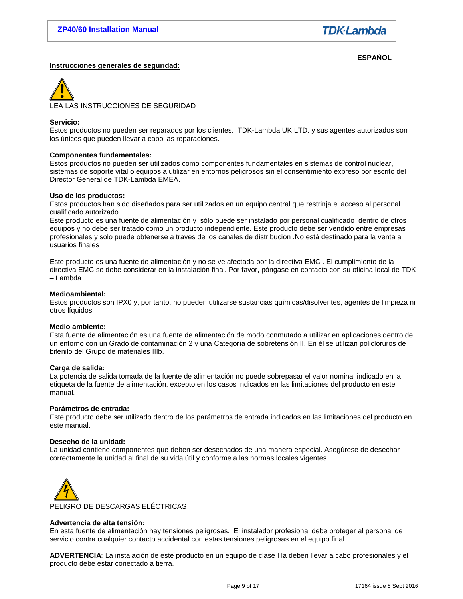# **Instrucciones generales de seguridad:**

**ESPAÑOL** 



# **Servicio:**

Estos productos no pueden ser reparados por los clientes. TDK-Lambda UK LTD. y sus agentes autorizados son los únicos que pueden llevar a cabo las reparaciones.

# **Componentes fundamentales:**

Estos productos no pueden ser utilizados como componentes fundamentales en sistemas de control nuclear, sistemas de soporte vital o equipos a utilizar en entornos peligrosos sin el consentimiento expreso por escrito del Director General de TDK-Lambda EMEA.

# **Uso de los productos:**

Estos productos han sido diseñados para ser utilizados en un equipo central que restrinja el acceso al personal cualificado autorizado.

Este producto es una fuente de alimentación y sólo puede ser instalado por personal cualificado dentro de otros equipos y no debe ser tratado como un producto independiente. Este producto debe ser vendido entre empresas profesionales y solo puede obtenerse a través de los canales de distribución .No está destinado para la venta a usuarios finales

Este producto es una fuente de alimentación y no se ve afectada por la directiva EMC . El cumplimiento de la directiva EMC se debe considerar en la instalación final. Por favor, póngase en contacto con su oficina local de TDK – Lambda.

# **Medioambiental:**

Estos productos son IPX0 y, por tanto, no pueden utilizarse sustancias químicas/disolventes, agentes de limpieza ni otros líquidos.

# **Medio ambiente:**

Esta fuente de alimentación es una fuente de alimentación de modo conmutado a utilizar en aplicaciones dentro de un entorno con un Grado de contaminación 2 y una Categoría de sobretensión II. En él se utilizan policloruros de bifenilo del Grupo de materiales IIIb.

# **Carga de salida:**

La potencia de salida tomada de la fuente de alimentación no puede sobrepasar el valor nominal indicado en la etiqueta de la fuente de alimentación, excepto en los casos indicados en las limitaciones del producto en este manual.

# **Parámetros de entrada:**

Este producto debe ser utilizado dentro de los parámetros de entrada indicados en las limitaciones del producto en este manual.

#### **Desecho de la unidad:**

La unidad contiene componentes que deben ser desechados de una manera especial. Asegúrese de desechar correctamente la unidad al final de su vida útil y conforme a las normas locales vigentes.



# **Advertencia de alta tensión:**

En esta fuente de alimentación hay tensiones peligrosas. El instalador profesional debe proteger al personal de servicio contra cualquier contacto accidental con estas tensiones peligrosas en el equipo final.

**ADVERTENCIA**: La instalación de este producto en un equipo de clase I la deben llevar a cabo profesionales y el producto debe estar conectado a tierra.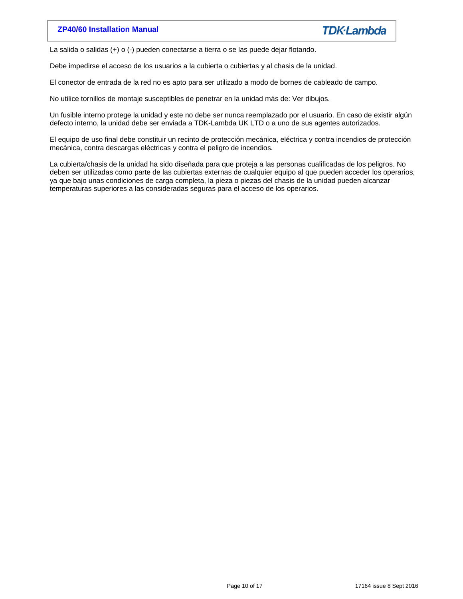La salida o salidas (+) o (-) pueden conectarse a tierra o se las puede dejar flotando.

Debe impedirse el acceso de los usuarios a la cubierta o cubiertas y al chasis de la unidad.

El conector de entrada de la red no es apto para ser utilizado a modo de bornes de cableado de campo.

No utilice tornillos de montaje susceptibles de penetrar en la unidad más de: Ver dibujos.

Un fusible interno protege la unidad y este no debe ser nunca reemplazado por el usuario. En caso de existir algún defecto interno, la unidad debe ser enviada a TDK-Lambda UK LTD o a uno de sus agentes autorizados.

El equipo de uso final debe constituir un recinto de protección mecánica, eléctrica y contra incendios de protección mecánica, contra descargas eléctricas y contra el peligro de incendios.

La cubierta/chasis de la unidad ha sido diseñada para que proteja a las personas cualificadas de los peligros. No deben ser utilizadas como parte de las cubiertas externas de cualquier equipo al que pueden acceder los operarios, ya que bajo unas condiciones de carga completa, la pieza o piezas del chasis de la unidad pueden alcanzar temperaturas superiores a las consideradas seguras para el acceso de los operarios.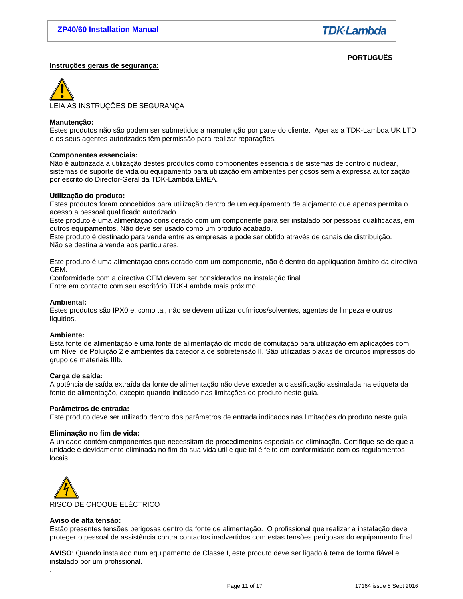**PORTUGUÊS** 

# **Instruções gerais de segurança:**

LEIA AS INSTRUÇÕES DE SEGURANÇA

#### **Manutenção:**

Estes produtos não são podem ser submetidos a manutenção por parte do cliente. Apenas a TDK-Lambda UK LTD e os seus agentes autorizados têm permissão para realizar reparações.

#### **Componentes essenciais:**

Não é autorizada a utilização destes produtos como componentes essenciais de sistemas de controlo nuclear, sistemas de suporte de vida ou equipamento para utilização em ambientes perigosos sem a expressa autorização por escrito do Director-Geral da TDK-Lambda EMEA.

#### **Utilização do produto:**

Estes produtos foram concebidos para utilização dentro de um equipamento de alojamento que apenas permita o acesso a pessoal qualificado autorizado.

Este produto é uma alimentaçao considerado com um componente para ser instalado por pessoas qualificadas, em outros equipamentos. Não deve ser usado como um produto acabado.

Este produto é destinado para venda entre as empresas e pode ser obtido através de canais de distribuição. Não se destina à venda aos particulares.

Este produto é uma alimentaçao considerado com um componente, não é dentro do appliquation âmbito da directiva CEM.

Conformidade com a directiva CEM devem ser considerados na instalação final. Entre em contacto com seu escritório TDK-Lambda mais próximo.

#### **Ambiental:**

Estes produtos são IPX0 e, como tal, não se devem utilizar químicos/solventes, agentes de limpeza e outros líquidos.

# **Ambiente:**

Esta fonte de alimentação é uma fonte de alimentação do modo de comutação para utilização em aplicações com um Nível de Poluição 2 e ambientes da categoria de sobretensão II. São utilizadas placas de circuitos impressos do grupo de materiais IIIb.

#### **Carga de saída:**

A potência de saída extraída da fonte de alimentação não deve exceder a classificação assinalada na etiqueta da fonte de alimentação, excepto quando indicado nas limitações do produto neste guia.

#### **Parâmetros de entrada:**

Este produto deve ser utilizado dentro dos parâmetros de entrada indicados nas limitações do produto neste guia.

#### **Eliminação no fim de vida:**

A unidade contém componentes que necessitam de procedimentos especiais de eliminação. Certifique-se de que a unidade é devidamente eliminada no fim da sua vida útil e que tal é feito em conformidade com os regulamentos locais.



# **Aviso de alta tensão:**

.

Estão presentes tensões perigosas dentro da fonte de alimentação. O profissional que realizar a instalação deve proteger o pessoal de assistência contra contactos inadvertidos com estas tensões perigosas do equipamento final.

**AVISO**: Quando instalado num equipamento de Classe I, este produto deve ser ligado à terra de forma fiável e instalado por um profissional.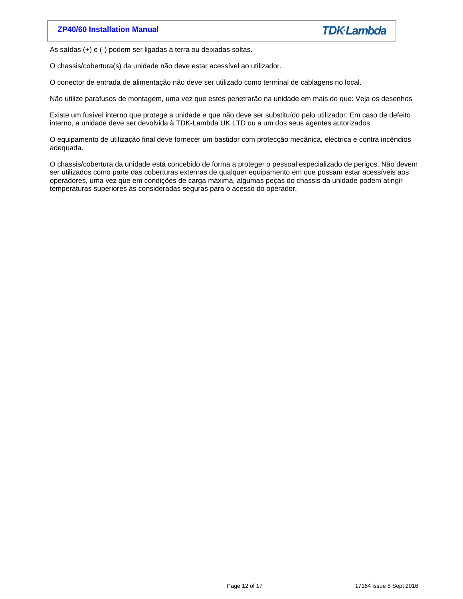As saídas (+) e (-) podem ser ligadas à terra ou deixadas soltas.

O chassis/cobertura(s) da unidade não deve estar acessível ao utilizador.

O conector de entrada de alimentação não deve ser utilizado como terminal de cablagens no local.

Não utilize parafusos de montagem, uma vez que estes penetrarão na unidade em mais do que: Veja os desenhos

Existe um fusível interno que protege a unidade e que não deve ser substituído pelo utilizador. Em caso de defeito interno, a unidade deve ser devolvida à TDK-Lambda UK LTD ou a um dos seus agentes autorizados.

O equipamento de utilização final deve fornecer um bastidor com protecção mecânica, eléctrica e contra incêndios adequada.

O chassis/cobertura da unidade está concebido de forma a proteger o pessoal especializado de perigos. Não devem ser utilizados como parte das coberturas externas de qualquer equipamento em que possam estar acessíveis aos operadores, uma vez que em condições de carga máxima, algumas peças do chassis da unidade podem atingir temperaturas superiores às consideradas seguras para o acesso do operador.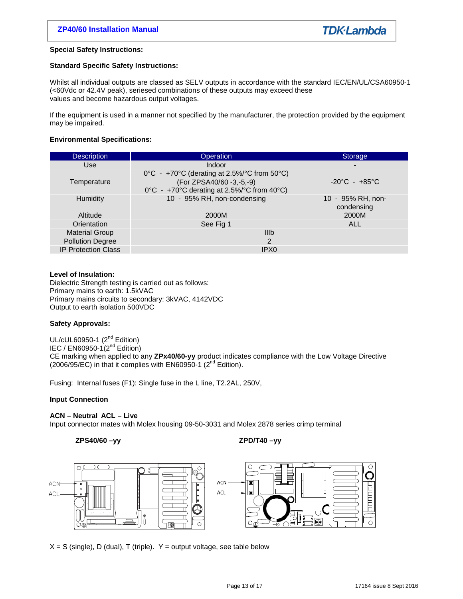# **Special Safety Instructions:**

# **Standard Specific Safety Instructions:**

Whilst all individual outputs are classed as SELV outputs in accordance with the standard IEC/EN/UL/CSA60950-1 (<60Vdc or 42.4V peak), seriesed combinations of these outputs may exceed these values and become hazardous output voltages.

If the equipment is used in a manner not specified by the manufacturer, the protection provided by the equipment may be impaired.

# **Environmental Specifications:**

| <b>Description</b>         | Operation                                                              | <b>Storage</b>                    |
|----------------------------|------------------------------------------------------------------------|-----------------------------------|
| Use                        | <b>Indoor</b>                                                          | $\blacksquare$                    |
|                            | $0^{\circ}$ C - +70°C (derating at 2.5%/°C from 50°C)                  |                                   |
| Temperature                | (For ZPSA40/60 -3,-5,-9)<br>0°C - +70°C derating at 2.5%/°C from 40°C) | $-20^{\circ}$ C - $+85^{\circ}$ C |
| Humidity                   | 10 - 95% RH, non-condensing                                            | 10 - 95% RH, non-<br>condensing   |
| Altitude                   | 2000M                                                                  | 2000M                             |
| Orientation                | See Fig 1                                                              | <b>ALL</b>                        |
| <b>Material Group</b>      | <b>IIIb</b>                                                            |                                   |
| <b>Pollution Degree</b>    | 2                                                                      |                                   |
| <b>IP Protection Class</b> | IPX <sub>0</sub>                                                       |                                   |

# **Level of Insulation:**

Dielectric Strength testing is carried out as follows: Primary mains to earth: 1.5kVAC Primary mains circuits to secondary: 3kVAC, 4142VDC Output to earth isolation 500VDC

# **Safety Approvals:**

UL/cUL60950-1 (2<sup>nd</sup> Edition) IEC / EN60950-1 $(2^{nd}$  Edition) CE marking when applied to any **ZPx40/60-yy** product indicates compliance with the Low Voltage Directive (2006/95/EC) in that it complies with EN60950-1 ( $2<sup>nd</sup>$  Edition).

Fusing: Internal fuses (F1): Single fuse in the L line, T2.2AL, 250V,

# **Input Connection**

# **ACN – Neutral ACL – Live**

Input connector mates with Molex housing 09-50-3031 and Molex 2878 series crimp terminal

# **ZPS40/60 –yy ZPD/T40 –yy**



 $X = S$  (single), D (dual), T (triple).  $Y =$  output voltage, see table below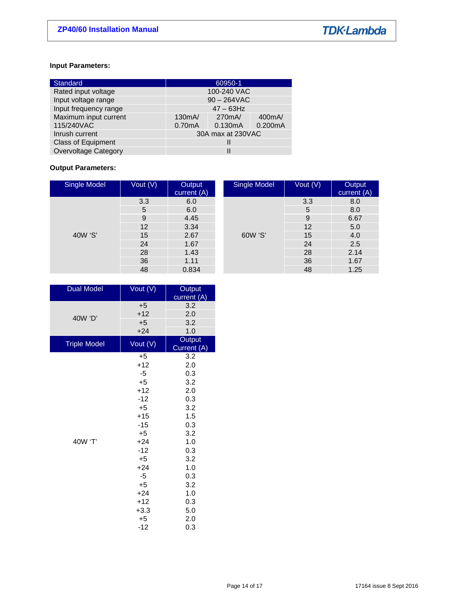# **Input Parameters:**

| Standard                    | 60950-1            |         |                    |  |
|-----------------------------|--------------------|---------|--------------------|--|
| Rated input voltage         | 100-240 VAC        |         |                    |  |
| Input voltage range         | $90 - 264$ VAC     |         |                    |  |
| Input frequency range       | $47 - 63$ Hz       |         |                    |  |
| Maximum input current       | 130 <sub>m</sub> A | 270mA/  | 400 <sub>m</sub> A |  |
| 115/240VAC                  | 0.70mA             | 0.130mA | 0.200mA            |  |
| Inrush current              | 30A max at 230VAC  |         |                    |  |
| <b>Class of Equipment</b>   |                    |         |                    |  |
| <b>Overvoltage Category</b> |                    |         |                    |  |

# **Output Parameters:**

| Single Model | Vout (V) | Output<br>current (A) | Single Model | Vout (V) | Output<br>current (A) |
|--------------|----------|-----------------------|--------------|----------|-----------------------|
|              | 3.3      | 6.0                   |              | 3.3      | 8.0                   |
|              | 5        | 6.0                   |              | 5        | 8.0                   |
| 40W 'S'      | 9        | 4.45                  | 60W 'S'      | 9        | 6.67                  |
|              | 12       | 3.34                  |              | 12       | 5.0                   |
|              | 15       | 2.67                  |              | 15       | 4.0                   |
|              | 24       | 1.67                  |              | 24       | 2.5                   |
|              | 28       | 1.43                  |              | 28       | 2.14                  |
|              | 36       | 1.11                  |              | 36       | 1.67                  |
|              | 48       | 0.834                 |              | 48       | 1.25                  |

| <b>Dual Model</b>   | Vout $(\overline{V})$ | Output<br>current (A) |
|---------------------|-----------------------|-----------------------|
|                     | $+5$                  | 3.2                   |
| 40W 'D'             | $+12$                 | 2.0                   |
|                     | $+5$                  | 3.2                   |
|                     | $+24$                 | 1.0                   |
| <b>Triple Model</b> | Vout $(V)$            | Output<br>Current (A) |
|                     | $+5$                  | 3.2                   |
|                     | $+12$                 | 2.0                   |
|                     | -5                    | 0.3                   |
|                     | $+5$                  | 3.2                   |
|                     | $+12$                 | 2.0                   |
|                     | $-12$                 | 0.3                   |
|                     | $+5$                  | 3.2                   |
|                     | $+15$                 | 1.5                   |
|                     | $-15$                 | 0.3                   |
|                     | $+5$                  | 3.2                   |
| 40W 'T'             | $+24$                 | 1.0                   |
|                     | $-12$                 | 0.3                   |
|                     | $+5$                  | 3.2                   |
|                     | $+24$                 | 1.0                   |
|                     | $-5$                  | 0.3                   |
|                     | $+5$                  | 3.2                   |
|                     | $+24$                 | 1.0                   |
|                     | $+12$                 | 0.3                   |
|                     | $+3.3$                | 5.0                   |
|                     | $+5$                  | 2.0                   |
|                     | $-12$                 | 0.3                   |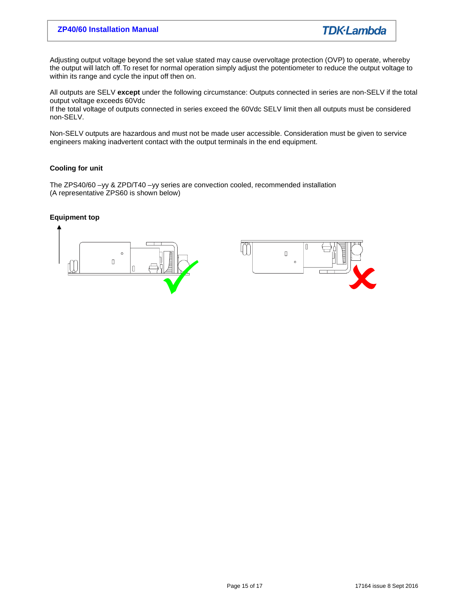Adjusting output voltage beyond the set value stated may cause overvoltage protection (OVP) to operate, whereby the output will latch off. To reset for normal operation simply adjust the potentiometer to reduce the output voltage to within its range and cycle the input off then on.

All outputs are SELV **except** under the following circumstance: Outputs connected in series are non-SELV if the total output voltage exceeds 60Vdc

If the total voltage of outputs connected in series exceed the 60Vdc SELV limit then all outputs must be considered non-SELV.

Non-SELV outputs are hazardous and must not be made user accessible. Consideration must be given to service engineers making inadvertent contact with the output terminals in the end equipment.

# **Cooling for unit**

The ZPS40/60 –yy & ZPD/T40 –yy series are convection cooled, recommended installation (A representative ZPS60 is shown below)

# **Equipment top**

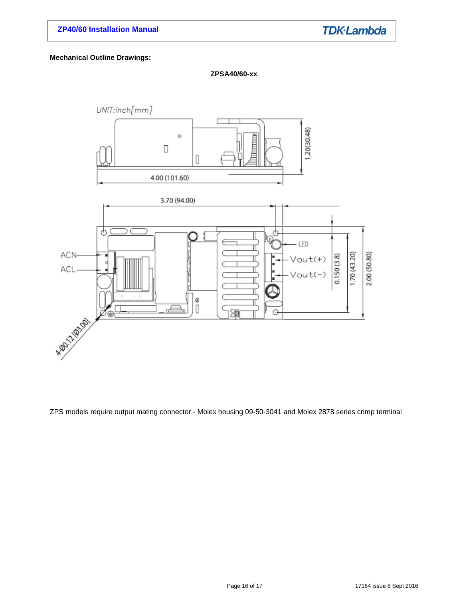# **Mechanical Outline Drawings:**





ZPS models require output mating connector - Molex housing 09-50-3041 and Molex 2878 series crimp terminal